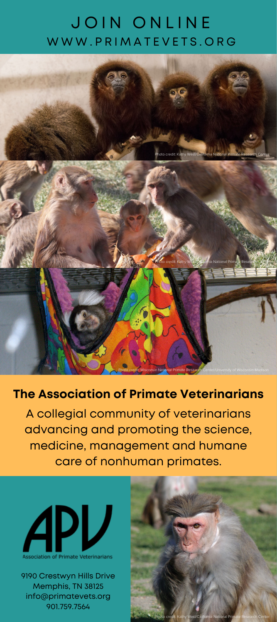## JOIN ONLINE WWW.PRIMATEVETS.ORG



#### **The Association of Primate Veterinarians**

A collegial community of veterinarians advancing and promoting the science, medicine, management and humane care of nonhuman primates.



9190 Crestwyn Hills Drive Memphis, TN 38125 info@primatevets.org 901.759.7564